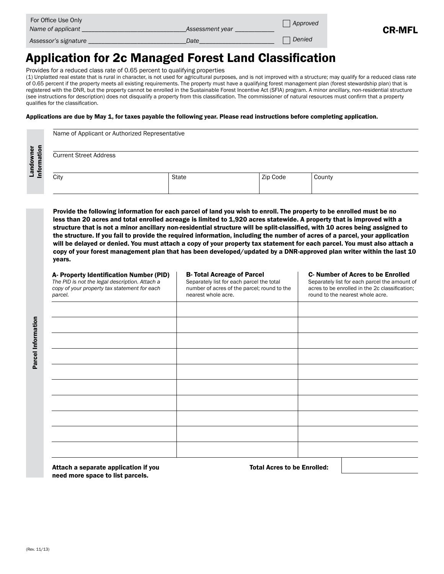| For Office Use Only<br>Name of applicant | Assessment year | Approved | <b>CR-MFL</b> |
|------------------------------------------|-----------------|----------|---------------|
| Assessor's signature                     | Date            | Denied   |               |

# Application for 2c Managed Forest Land Classification

Provides for a reduced class rate of 0.65 percent to qualifying properties

(1) Unplatted real estate that is rural in character, is not used for agricultural purposes, and is not improved with a structure; may qualify for a reduced class rate of 0.65 percent if the property meets all existing requirements. The property must have a qualifying forest management plan (forest stewardship plan) that is registered with the DNR, but the property cannot be enrolled in the Sustainable Forest Incentive Act (SFIA) program. A minor ancillary, non-residential structure (see instructions for description) does not disqualify a property from this classification. The commissioner of natural resources must confirm that a property qualifies for the classification.

#### Applications are due by May 1, for taxes payable the following year. Please read instructions before completing application.

| Landowner<br>Information | Name of Applicant or Authorized Representative<br><b>Current Street Address</b><br>City | State | Zip Code | County |
|--------------------------|-----------------------------------------------------------------------------------------|-------|----------|--------|
|                          |                                                                                         |       |          |        |

Provide the following information for each parcel of land you wish to enroll. The property to be enrolled must be no less than 20 acres and total enrolled acreage is limited to 1,920 acres statewide. A property that is improved with a structure that is not a minor ancillary non-residential structure will be split-classified, with 10 acres being assigned to the structure. If you fail to provide the required information, including the number of acres of a parcel, your application will be delayed or denied. You must attach a copy of your property tax statement for each parcel. You must also attach a copy of your forest management plan that has been developed/updated by a DNR-approved plan writer within the last 10 years.

| A- Property Identification Number (PID)<br>The PID is not the legal description. Attach a<br>copy of your property tax statement for each<br>parcel. | <b>B- Total Acreage of Parcel</b><br>Separately list for each parcel the total<br>number of acres of the parcel; round to the<br>nearest whole acre. | <b>C-Number of Acres to be Enrolled</b><br>Separately list for each parcel the amount of<br>acres to be enrolled in the 2c classification;<br>round to the nearest whole acre. |  |
|------------------------------------------------------------------------------------------------------------------------------------------------------|------------------------------------------------------------------------------------------------------------------------------------------------------|--------------------------------------------------------------------------------------------------------------------------------------------------------------------------------|--|
|                                                                                                                                                      |                                                                                                                                                      |                                                                                                                                                                                |  |
|                                                                                                                                                      |                                                                                                                                                      |                                                                                                                                                                                |  |
|                                                                                                                                                      |                                                                                                                                                      |                                                                                                                                                                                |  |
|                                                                                                                                                      |                                                                                                                                                      |                                                                                                                                                                                |  |
|                                                                                                                                                      |                                                                                                                                                      |                                                                                                                                                                                |  |
|                                                                                                                                                      |                                                                                                                                                      |                                                                                                                                                                                |  |
|                                                                                                                                                      |                                                                                                                                                      |                                                                                                                                                                                |  |
|                                                                                                                                                      |                                                                                                                                                      |                                                                                                                                                                                |  |
|                                                                                                                                                      |                                                                                                                                                      |                                                                                                                                                                                |  |
|                                                                                                                                                      |                                                                                                                                                      |                                                                                                                                                                                |  |
|                                                                                                                                                      |                                                                                                                                                      |                                                                                                                                                                                |  |

Attach a separate application if you The Total Acres to be Enrolled: need more space to list parcels.

Parcel Information

Parcel Information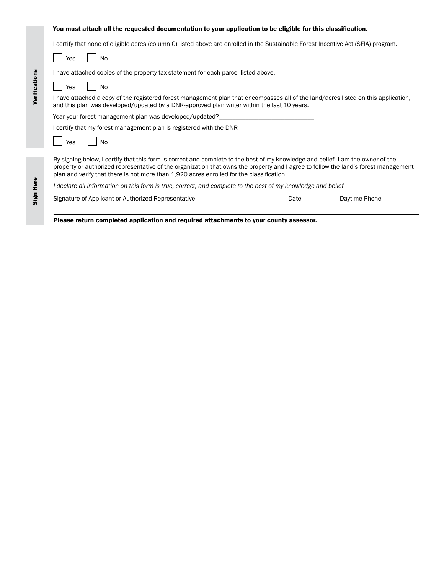#### You must attach all the requested documentation to your application to be eligible for this classification.

|           | I certify that none of eligible acres (column C) listed above are enrolled in the Sustainable Forest Incentive Act (SFIA) program.                                                                                                                                                                                                                                  |
|-----------|---------------------------------------------------------------------------------------------------------------------------------------------------------------------------------------------------------------------------------------------------------------------------------------------------------------------------------------------------------------------|
| Yes<br>No |                                                                                                                                                                                                                                                                                                                                                                     |
|           | I have attached copies of the property tax statement for each parcel listed above.                                                                                                                                                                                                                                                                                  |
| Yes<br>No |                                                                                                                                                                                                                                                                                                                                                                     |
|           | I have attached a copy of the registered forest management plan that encompasses all of the land/acres listed on this application,<br>and this plan was developed/updated by a DNR-approved plan writer within the last 10 years.                                                                                                                                   |
|           | Year your forest management plan was developed/updated?                                                                                                                                                                                                                                                                                                             |
|           | I certify that my forest management plan is registered with the DNR                                                                                                                                                                                                                                                                                                 |
| No<br>Yes |                                                                                                                                                                                                                                                                                                                                                                     |
|           | By signing below, I certify that this form is correct and complete to the best of my knowledge and belief. I am the owner of the<br>property or authorized representative of the organization that owns the property and I agree to follow the land's forest management<br>plan and verify that there is not more than 1,920 acres enrolled for the classification. |
|           | l declare all information on this form is true, correct, and complete to the best of my knowledge and belief                                                                                                                                                                                                                                                        |

| Signature of Applicant or Authorized Representative | Date | Davtime Phone |
|-----------------------------------------------------|------|---------------|
|                                                     |      |               |

Please return completed application and required attachments to your county assessor.

Sign Here

Verifications

Verifications